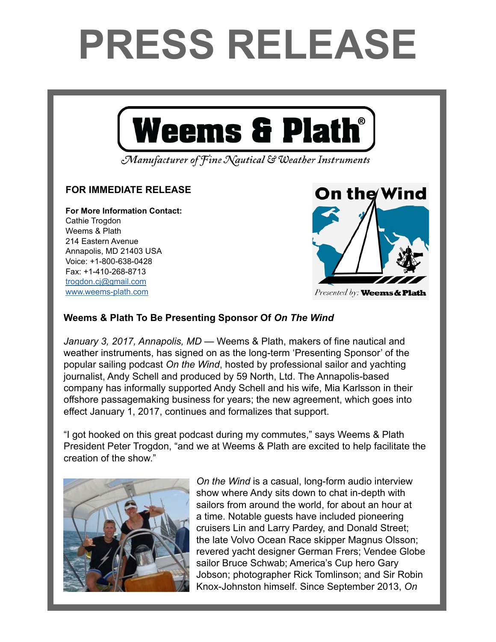## PRESS RELEASE



"We're in the Wild West in terms of the medium," says *On the Wind* host and producer Andy Schell. "Peter is an early adapter and caught onto to the podcast technology very

> $\sum_{i=1}^{n}$   $\sum_{i=1}^{n}$   $\sum_{i=1}^{n}$   $\sum_{i=1}^{n}$   $\sum_{i=1}^{n}$   $\sum_{i=1}^{n}$   $\sum_{i=1}^{n}$   $\sum_{i=1}^{n}$   $\sum_{i=1}^{n}$   $\sum_{i=1}^{n}$   $\sum_{i=1}^{n}$   $\sum_{i=1}^{n}$   $\sum_{i=1}^{n}$   $\sum_{i=1}^{n}$   $\sum_{i=1}^{n}$   $\sum_{i=1}^{n}$   $\sum_{i=1}^{n}$  of Fine Nautical & Weather Instruments

## FOR IMMEDIATE RELEASE **FOR IMMEDIATE RELEASE**

For More Information Contact: **For More Information Contact:** Cathie Trogdon Weems & Plath 214 Eastern Avenue Annapolis, MD 21403 USA<br>... President Peter Trogana Peter Trogana Peter Trogana Peter Trogana Peter Trogana Peter Trogana Peter Trogana Peter Trogana Peter Trogana Peter Trogana Peter Trogana Peter Trogana Peter Trogana Peter Trogana Peter Trogana Pe trogat. +1-410-268-8713 and this great podcast during my commutes," says Weekly and the Plath on the Plath of D <u>trogdon.cj@gmail.com</u> [www.weems-plath.com](http://www.weems-plath.com)

## *On the Wind* is a casual, longform audio interview show where  $\mathcal{A}$ around the world, for about an hour at a time. Notable  $\overline{\phantom{a}}$ Pardey and Donald Street; the late Volvo Ocean Race skipper Magnus Olsson; revered yacht designer German

Presented by: Weems & Plath

## Weens & Plath to be Presenting Sponsor Of *On the Wind* Weems & Plath To Be Presenting Sponsor Of *On The Wind*

January 3, 2017, Annapolis, MD — Weems & Plath, makers of fine nautical and weather instruments, has signed on as the long-term 'Presenting Sponsor' of the popular sailing podcast *On the Wind*, hosted by professional sailor and yachting and produced by the produced by 59 North, Ltd. The Annapolis beach information of the Annapolis beach informal  $\alpha$  Mia Karly Schell and produced by 39 Norm, Eta. The Annapolis-based company has informally supported Andy Schell and his wife, Mia Karlsson in their offshore passagemaking business for years; the new agreement, which goes into effect January 1, 2017, continues and formalizes that support. iournalist, Andy Schell and produced by 59 North, Ltd. The Annapolis-based podcast *On the Wind*, hosted by professional sailor & yachting journalist Andy Schell *January 3, 2017, Annapolis, MD* — Weems & Plath, makers of fine nautical and

 $\mathcal{I}$  great podcast during my commutes," says Weems  $\mathcal{I}$  says Weems  $\mathcal{I}$  says Weems  $\mathcal{I}$ 

"I got hooked on this great podcast during my commutes," says Weems & Plath r got nooked on this creation of the show."  $\frac{1}{2}$ President Peter Trogdon, "and we at Weems & Plath are excited to help facilitate the

Andy Schell. "Peter is an early adapter and caught onto the podcast technology very positive  $\mathcal{P}_\text{c}$ 



On the Wind is a casual, long-form audio interview show where Andy sits down to chat in-depth with Pardew more street and Donald Street; the late Volvo sailors from around the world, for about an hour at a time. Notable guests have included pioneering cruisers Lin and Larry Pardey, and Donald Street; the late Volvo Ocean Race skipper Magnus Olsson; revered yacht designer German Frers; Vendee Globe between yaarit aberginan berman in rond, neniade bi sailor Bruce Schwab; America's Cup hero Gary Jobson; photographer Rick Tomlinson; and Sir Robin Knox-Johnston himself. Since September 2013, *On*